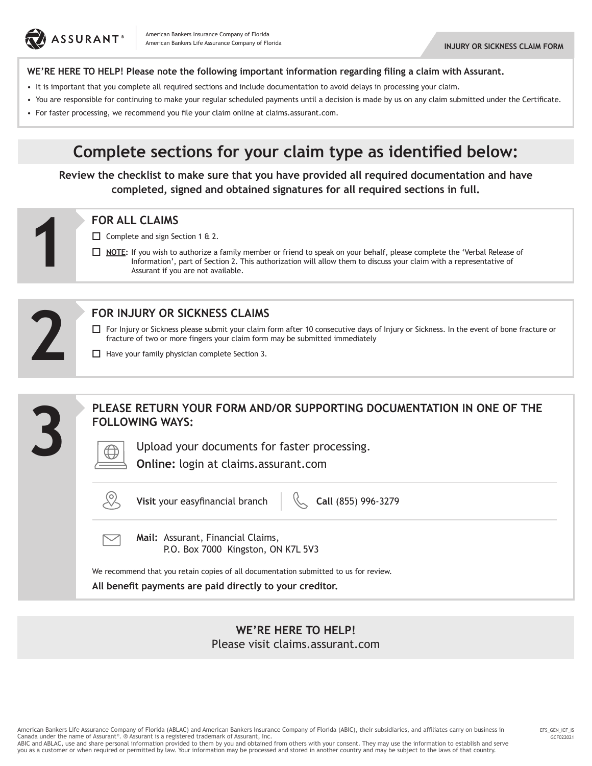

#### **WE'RE HERE TO HELP! Please note the following important information regarding filing a claim with Assurant.**

- It is important that you complete all required sections and include documentation to avoid delays in processing your claim.
- You are responsible for continuing to make your regular scheduled payments until a decision is made by us on any claim submitted under the Certificate.
- For faster processing, we recommend you file your claim online at claims.assurant.com.

## **Complete sections for your claim type as identified below:**

**Review the checklist to make sure that you have provided all required documentation and have completed, signed and obtained signatures for all required sections in full.**

Complete and sign Section 1  $\&$  2.

 **NOTE:** If you wish to authorize a family member or friend to speak on your behalf, please complete the 'Verbal Release of Information', part of Section 2. This authorization will allow them to discuss your claim with a representative of Assurant if you are not available. **FOR ALL CLAIMS**<br>  $\Box$  Complete and sign Se<br>  $\Box$  <u>NOTE</u>: If you wish to<br>
Information',<br>
Assurant if you



#### **FOR INJURY OR SICKNESS CLAIMS**

 $\Box$  For Injury or Sickness please submit your claim form after 10 consecutive days of Injury or Sickness. In the event of bone fracture or fracture of two or more fingers your claim form may be submitted immediately

 $\Box$  Have your family physician complete Section 3.



#### **WE'RE HERE TO HELP!** Please visit claims.assurant.com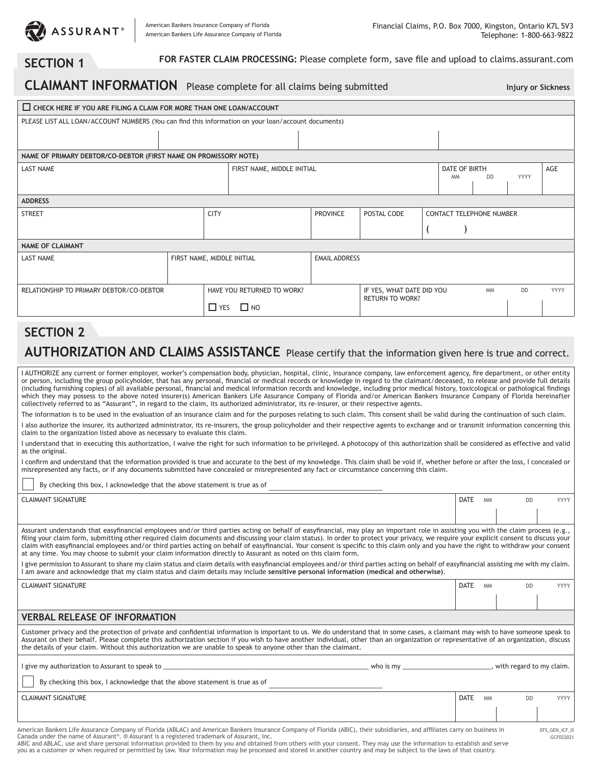

#### **SECTION 1**

 **FOR FASTER CLAIM PROCESSING:** Please complete form, save file and upload to claims.assurant.com

#### **CLAIMANT INFORMATION** Please complete for all claims being submitted

**Injury or Sickness**

| CHECK HERE IF YOU ARE FILING A CLAIM FOR MORE THAN ONE LOAN/ACCOUNT                                 |  |                            |                                         |                 |                                                     |  |                            |           |           |             |  |
|-----------------------------------------------------------------------------------------------------|--|----------------------------|-----------------------------------------|-----------------|-----------------------------------------------------|--|----------------------------|-----------|-----------|-------------|--|
| PLEASE LIST ALL LOAN/ACCOUNT NUMBERS (You can find this information on your loan/account documents) |  |                            |                                         |                 |                                                     |  |                            |           |           |             |  |
|                                                                                                     |  |                            |                                         |                 |                                                     |  |                            |           |           |             |  |
| NAME OF PRIMARY DEBTOR/CO-DEBTOR (FIRST NAME ON PROMISSORY NOTE)                                    |  |                            |                                         |                 |                                                     |  |                            |           |           |             |  |
| <b>LAST NAME</b>                                                                                    |  |                            | FIRST NAME, MIDDLE INITIAL              |                 |                                                     |  | DATE OF BIRTH<br><b>MM</b> | <b>DD</b> | YYYY      | AGE         |  |
| <b>ADDRESS</b>                                                                                      |  |                            |                                         |                 |                                                     |  |                            |           |           |             |  |
| <b>STREET</b>                                                                                       |  | <b>CITY</b>                |                                         | <b>PROVINCE</b> | <b>CONTACT TELEPHONE NUMBER</b>                     |  |                            |           |           |             |  |
|                                                                                                     |  |                            |                                         |                 |                                                     |  |                            |           |           |             |  |
| <b>NAME OF CLAIMANT</b>                                                                             |  |                            |                                         |                 |                                                     |  |                            |           |           |             |  |
| <b>LAST NAME</b>                                                                                    |  | FIRST NAME, MIDDLE INITIAL |                                         |                 | <b>EMAIL ADDRESS</b>                                |  |                            |           |           |             |  |
| RELATIONSHIP TO PRIMARY DEBTOR/CO-DEBTOR                                                            |  | $\Box$ Yes                 | HAVE YOU RETURNED TO WORK?<br>$\Box$ NO |                 | IF YES, WHAT DATE DID YOU<br><b>RETURN TO WORK?</b> |  |                            | <b>MM</b> | <b>DD</b> | <b>YYYY</b> |  |

# **SECTION 2**

# **AUTHORIZATION AND CLAIMS ASSISTANCE** Please certify that the information given here is true and correct.

I AUTHORIZE any current or former employer, worker's compensation body, physician, hospital, clinic, insurance company, law enforcement agency, fire department, or other entity or person, including the group policyholder, that has any personal, financial or medical records or knowledge in regard to the claimant/deceased, to release and provide full details (including furnishing copies) of all available personal, financial and medical information records and knowledge, including prior medical history, toxicological or pathological findings which they may possess to the above noted insurer(s) American Bankers Life Assurance Company of Florida and/or American Bankers Insurance Company of Florida hereinafter collectively referred to as "Assurant", in regard to the claim, its authorized administrator, its re-insurer, or their respective agents.

The information is to be used in the evaluation of an insurance claim and for the purposes relating to such claim. This consent shall be valid during the continuation of such claim.

I also authorize the insurer, its authorized administrator, its re-insurers, the group policyholder and their respective agents to exchange and or transmit information concerning this claim to the organization listed above as necessary to evaluate this claim.

I understand that in executing this authorization, I waive the right for such information to be privileged. A photocopy of this authorization shall be considered as effective and valid as the original.

I confirm and understand that the information provided is true and accurate to the best of my knowledge. This claim shall be void if, whether before or after the loss, I concealed or misrepresented any facts, or if any documents submitted have concealed or misrepresented any fact or circumstance concerning this claim.

By checking this box, I acknowledge that the above statement is true as of

| <b>CLAIMANT SIGNATURE</b>                                                                                                                                                                                                                                                                                                                                                                                                                                                                                                                                                                                                                                                                  | <b>DATE</b> |  | DD        | YYYY |  |  |  |  |
|--------------------------------------------------------------------------------------------------------------------------------------------------------------------------------------------------------------------------------------------------------------------------------------------------------------------------------------------------------------------------------------------------------------------------------------------------------------------------------------------------------------------------------------------------------------------------------------------------------------------------------------------------------------------------------------------|-------------|--|-----------|------|--|--|--|--|
|                                                                                                                                                                                                                                                                                                                                                                                                                                                                                                                                                                                                                                                                                            |             |  |           |      |  |  |  |  |
| Assurant understands that easyfinancial employees and/or third parties acting on behalf of easyfinancial, may play an important role in assisting you with the claim process (e.g.,<br>filing your claim form, submitting other required claim documents and discussing your claim status). In order to protect your privacy, we require your explicit consent to discuss your<br>claim with easyfinancial employees and/or third parties acting on behalf of easyfinancial. Your consent is specific to this claim only and you have the right to withdraw your consent<br>at any time. You may choose to submit your claim information directly to Assurant as noted on this claim form. |             |  |           |      |  |  |  |  |
| I give permission to Assurant to share my claim status and claim details with easyfinancial employees and/or third parties acting on behalf of easyfinancial assisting me with my claim.<br>I am aware and acknowledge that my claim status and claim details may include sensitive personal information (medical and otherwise).                                                                                                                                                                                                                                                                                                                                                          |             |  |           |      |  |  |  |  |
| <b>CLAIMANT SIGNATURE</b>                                                                                                                                                                                                                                                                                                                                                                                                                                                                                                                                                                                                                                                                  | <b>DATE</b> |  | <b>DD</b> | YYYY |  |  |  |  |
|                                                                                                                                                                                                                                                                                                                                                                                                                                                                                                                                                                                                                                                                                            |             |  |           |      |  |  |  |  |
| <b>VERBAL RELEASE OF INFORMATION</b>                                                                                                                                                                                                                                                                                                                                                                                                                                                                                                                                                                                                                                                       |             |  |           |      |  |  |  |  |
| Customer privacy and the protection of private and confidential information is important to us. We do understand that in some cases, a claimant may wish to have someone speak to<br>Assurant on their behalf. Please complete this authorization section if you wish to have another individual, other than an organization or representative of an organization, discuss<br>the details of your claim. Without this authorization we are unable to speak to anyone other than the claimant.                                                                                                                                                                                              |             |  |           |      |  |  |  |  |

| I give my authorization to Assurant to speak to                                                                                                                                                                                                                            | who is my |             |           | , with regard to my claim. $\,$ |                             |
|----------------------------------------------------------------------------------------------------------------------------------------------------------------------------------------------------------------------------------------------------------------------------|-----------|-------------|-----------|---------------------------------|-----------------------------|
| By checking this box, I acknowledge that the above statement is true as of                                                                                                                                                                                                 |           |             |           |                                 |                             |
| <b>CLAIMANT SIGNATURE</b>                                                                                                                                                                                                                                                  |           | <b>DATE</b> | <b>MM</b> | DD                              | <b>YYYY</b>                 |
|                                                                                                                                                                                                                                                                            |           |             |           |                                 |                             |
| American Bankers Life Assurance Company of Florida (ABLAC) and American Bankers Insurance Company of Florida (ABIC), their subsidiaries, and affiliates carry on business in<br>Canada under the name of Assurant®. ® Assurant is a registered trademark of Assurant. Inc. |           |             |           |                                 | EFS_GEN_ICF_IS<br>CCFO22021 |

American Bankers Life Assurance Company of Florida (ABLAC) and American Bankers Insurance Company of Florida (ABIC), their subsidiaries, and affiliates carry on business in<br>Canada under the name of Assurant<sup>e</sup>. ® Assurant you as a customer or when required or permitted by law. Your information may be processed and stored in another country and may be subject to the laws of that country.